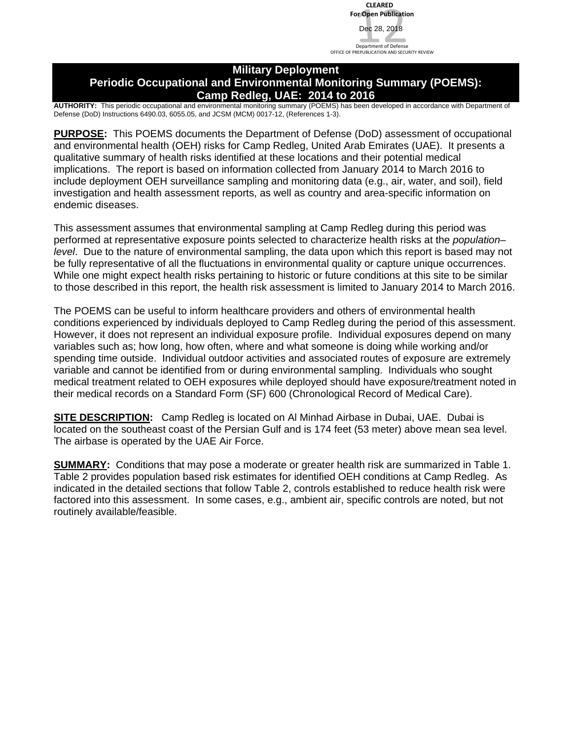**CLEARED For Open Publication** Department of Defense OFFICE OF PREPUBLICATION AND SECURITY REVIEW Dec 28, 2018

## **Military Deployment Periodic Occupational and Environmental Monitoring Summary (POEMS): Camp Redleg, UAE: 2014 to 2016**

**AUTHORITY:** This periodic occupational and environmental monitoring summary (POEMS) has been developed in accordance with Department of Defense (DoD) Instructions 6490.03, 6055.05, and JCSM (MCM) 0017-12, (References 1-3).

**PURPOSE:** This POEMS documents the Department of Defense (DoD) assessment of occupational and environmental health (OEH) risks for Camp Redleg, United Arab Emirates (UAE). It presents a qualitative summary of health risks identified at these locations and their potential medical implications. The report is based on information collected from January 2014 to March 2016 to include deployment OEH surveillance sampling and monitoring data (e.g., air, water, and soil), field investigation and health assessment reports, as well as country and area-specific information on endemic diseases.

This assessment assumes that environmental sampling at Camp Redleg during this period was performed at representative exposure points selected to characterize health risks at the *population– level*. Due to the nature of environmental sampling, the data upon which this report is based may not be fully representative of all the fluctuations in environmental quality or capture unique occurrences. While one might expect health risks pertaining to historic or future conditions at this site to be similar to those described in this report, the health risk assessment is limited to January 2014 to March 2016.

The POEMS can be useful to inform healthcare providers and others of environmental health conditions experienced by individuals deployed to Camp Redleg during the period of this assessment. However, it does not represent an individual exposure profile. Individual exposures depend on many variables such as; how long, how often, where and what someone is doing while working and/or spending time outside. Individual outdoor activities and associated routes of exposure are extremely variable and cannot be identified from or during environmental sampling. Individuals who sought medical treatment related to OEH exposures while deployed should have exposure/treatment noted in their medical records on a Standard Form (SF) 600 (Chronological Record of Medical Care).

**SITE DESCRIPTION:** Camp Redleg is located on Al Minhad Airbase in Dubai, UAE. Dubai is located on the southeast coast of the Persian Gulf and is 174 feet (53 meter) above mean sea level. The airbase is operated by the UAE Air Force.

**SUMMARY:** Conditions that may pose a moderate or greater health risk are summarized in Table 1. Table 2 provides population based risk estimates for identified OEH conditions at Camp Redleg. As indicated in the detailed sections that follow Table 2, controls established to reduce health risk were factored into this assessment. In some cases, e.g., ambient air, specific controls are noted, but not routinely available/feasible.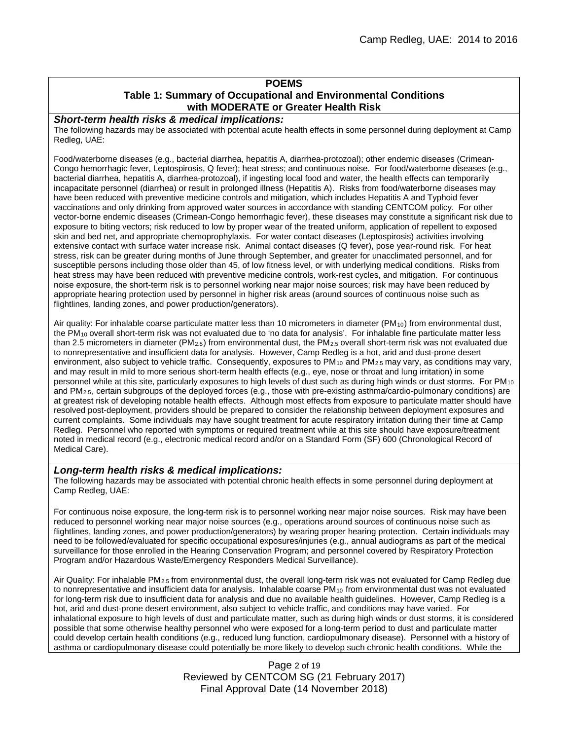## **POEMS**

#### **Table 1: Summary of Occupational and Environmental Conditions with MODERATE or Greater Health Risk**

#### *Short-term health risks & medical implications:*

The following hazards may be associated with potential acute health effects in some personnel during deployment at Camp Redleg, UAE:

Food/waterborne diseases (e.g., bacterial diarrhea, hepatitis A, diarrhea-protozoal); other endemic diseases (Crimean-Congo hemorrhagic fever, Leptospirosis, Q fever); heat stress; and continuous noise. For food/waterborne diseases (e.g., bacterial diarrhea, hepatitis A, diarrhea-protozoal), if ingesting local food and water, the health effects can temporarily incapacitate personnel (diarrhea) or result in prolonged illness (Hepatitis A). Risks from food/waterborne diseases may have been reduced with preventive medicine controls and mitigation, which includes Hepatitis A and Typhoid fever vaccinations and only drinking from approved water sources in accordance with standing CENTCOM policy. For other vector-borne endemic diseases (Crimean-Congo hemorrhagic fever), these diseases may constitute a significant risk due to exposure to biting vectors; risk reduced to low by proper wear of the treated uniform, application of repellent to exposed skin and bed net, and appropriate chemoprophylaxis. For water contact diseases (Leptospirosis) activities involving extensive contact with surface water increase risk. Animal contact diseases (Q fever), pose year-round risk. For heat stress, risk can be greater during months of June through September, and greater for unacclimated personnel, and for susceptible persons including those older than 45, of low fitness level, or with underlying medical conditions. Risks from heat stress may have been reduced with preventive medicine controls, work-rest cycles, and mitigation. For continuous noise exposure, the short-term risk is to personnel working near major noise sources; risk may have been reduced by appropriate hearing protection used by personnel in higher risk areas (around sources of continuous noise such as flightlines, landing zones, and power production/generators).

Air quality: For inhalable coarse particulate matter less than 10 micrometers in diameter  $(PM_{10})$  from environmental dust, the PM10 overall short-term risk was not evaluated due to 'no data for analysis'. For inhalable fine particulate matter less than 2.5 micrometers in diameter (PM<sub>2.5</sub>) from environmental dust, the PM<sub>2.5</sub> overall short-term risk was not evaluated due to nonrepresentative and insufficient data for analysis. However, Camp Redleg is a hot, arid and dust-prone desert environment, also subject to vehicle traffic. Consequently, exposures to PM<sub>10</sub> and PM<sub>2.5</sub> may vary, as conditions may vary, and may result in mild to more serious short-term health effects (e.g., eye, nose or throat and lung irritation) in some personnel while at this site, particularly exposures to high levels of dust such as during high winds or dust storms. For PM10 and PM2.5, certain subgroups of the deployed forces (e.g., those with pre-existing asthma/cardio-pulmonary conditions) are at greatest risk of developing notable health effects. Although most effects from exposure to particulate matter should have resolved post-deployment, providers should be prepared to consider the relationship between deployment exposures and current complaints. Some individuals may have sought treatment for acute respiratory irritation during their time at Camp Redleg. Personnel who reported with symptoms or required treatment while at this site should have exposure/treatment noted in medical record (e.g., electronic medical record and/or on a Standard Form (SF) 600 (Chronological Record of Medical Care).

#### *Long-term health risks & medical implications:*

The following hazards may be associated with potential chronic health effects in some personnel during deployment at Camp Redleg, UAE:

For continuous noise exposure, the long-term risk is to personnel working near major noise sources. Risk may have been reduced to personnel working near major noise sources (e.g., operations around sources of continuous noise such as flightlines, landing zones, and power production/generators) by wearing proper hearing protection. Certain individuals may need to be followed/evaluated for specific occupational exposures/injuries (e.g., annual audiograms as part of the medical surveillance for those enrolled in the Hearing Conservation Program; and personnel covered by Respiratory Protection Program and/or Hazardous Waste/Emergency Responders Medical Surveillance).

Air Quality: For inhalable PM2.5 from environmental dust, the overall long-term risk was not evaluated for Camp Redleg due to nonrepresentative and insufficient data for analysis. Inhalable coarse  $PM_{10}$  from environmental dust was not evaluated for long-term risk due to insufficient data for analysis and due no available health guidelines. However, Camp Redleg is a hot, arid and dust-prone desert environment, also subject to vehicle traffic, and conditions may have varied. For inhalational exposure to high levels of dust and particulate matter, such as during high winds or dust storms, it is considered possible that some otherwise healthy personnel who were exposed for a long-term period to dust and particulate matter could develop certain health conditions (e.g., reduced lung function, cardiopulmonary disease). Personnel with a history of asthma or cardiopulmonary disease could potentially be more likely to develop such chronic health conditions. While the

> Page 2 of 19 Reviewed by CENTCOM SG (21 February 2017) Final Approval Date (14 November 2018)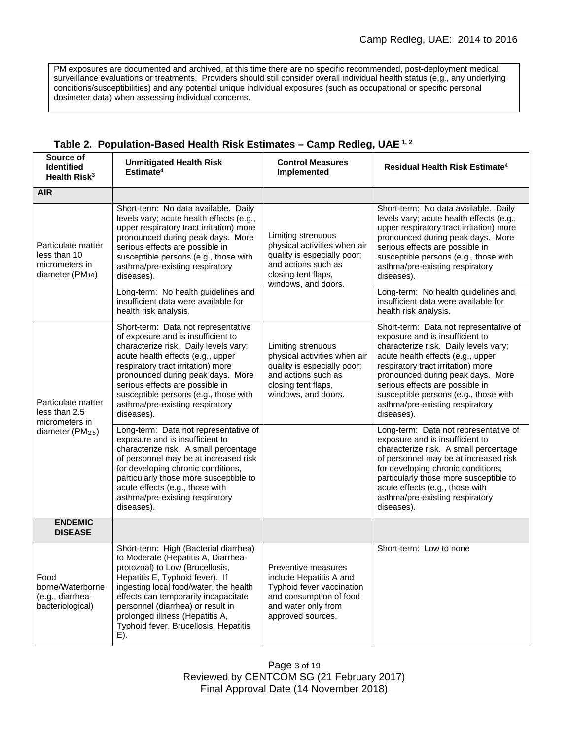PM exposures are documented and archived, at this time there are no specific recommended, post-deployment medical surveillance evaluations or treatments. Providers should still consider overall individual health status (e.g., any underlying conditions/susceptibilities) and any potential unique individual exposures (such as occupational or specific personal dosimeter data) when assessing individual concerns.

| Source of<br><b>Identified</b><br>Health Risk <sup>3</sup>                             | <b>Unmitigated Health Risk</b><br>Estimate <sup>4</sup>                                                                                                                                                                                                                                                                                                         | <b>Control Measures</b><br>Implemented                                                                                                                 | Residual Health Risk Estimate <sup>4</sup>                                                                                                                                                                                                                                                                                                                      |
|----------------------------------------------------------------------------------------|-----------------------------------------------------------------------------------------------------------------------------------------------------------------------------------------------------------------------------------------------------------------------------------------------------------------------------------------------------------------|--------------------------------------------------------------------------------------------------------------------------------------------------------|-----------------------------------------------------------------------------------------------------------------------------------------------------------------------------------------------------------------------------------------------------------------------------------------------------------------------------------------------------------------|
| <b>AIR</b>                                                                             |                                                                                                                                                                                                                                                                                                                                                                 |                                                                                                                                                        |                                                                                                                                                                                                                                                                                                                                                                 |
| Particulate matter<br>less than 10<br>micrometers in<br>diameter $(PM_{10})$           | Short-term: No data available. Daily<br>levels vary; acute health effects (e.g.,<br>upper respiratory tract irritation) more<br>pronounced during peak days. More<br>serious effects are possible in<br>susceptible persons (e.g., those with<br>asthma/pre-existing respiratory<br>diseases).                                                                  | Limiting strenuous<br>physical activities when air<br>quality is especially poor;<br>and actions such as<br>closing tent flaps,<br>windows, and doors. | Short-term: No data available. Daily<br>levels vary; acute health effects (e.g.,<br>upper respiratory tract irritation) more<br>pronounced during peak days. More<br>serious effects are possible in<br>susceptible persons (e.g., those with<br>asthma/pre-existing respiratory<br>diseases).                                                                  |
|                                                                                        | Long-term: No health guidelines and<br>insufficient data were available for<br>health risk analysis.                                                                                                                                                                                                                                                            |                                                                                                                                                        | Long-term: No health guidelines and<br>insufficient data were available for<br>health risk analysis.                                                                                                                                                                                                                                                            |
| Particulate matter<br>less than 2.5<br>micrometers in<br>diameter (PM <sub>2.5</sub> ) | Short-term: Data not representative<br>of exposure and is insufficient to<br>characterize risk. Daily levels vary;<br>acute health effects (e.g., upper<br>respiratory tract irritation) more<br>pronounced during peak days. More<br>serious effects are possible in<br>susceptible persons (e.g., those with<br>asthma/pre-existing respiratory<br>diseases). | Limiting strenuous<br>physical activities when air<br>quality is especially poor;<br>and actions such as<br>closing tent flaps,<br>windows, and doors. | Short-term: Data not representative of<br>exposure and is insufficient to<br>characterize risk. Daily levels vary;<br>acute health effects (e.g., upper<br>respiratory tract irritation) more<br>pronounced during peak days. More<br>serious effects are possible in<br>susceptible persons (e.g., those with<br>asthma/pre-existing respiratory<br>diseases). |
|                                                                                        | Long-term: Data not representative of<br>exposure and is insufficient to<br>characterize risk. A small percentage<br>of personnel may be at increased risk<br>for developing chronic conditions,<br>particularly those more susceptible to<br>acute effects (e.g., those with<br>asthma/pre-existing respiratory<br>diseases).                                  |                                                                                                                                                        | Long-term: Data not representative of<br>exposure and is insufficient to<br>characterize risk. A small percentage<br>of personnel may be at increased risk<br>for developing chronic conditions,<br>particularly those more susceptible to<br>acute effects (e.g., those with<br>asthma/pre-existing respiratory<br>diseases).                                  |
| <b>ENDEMIC</b><br><b>DISEASE</b>                                                       |                                                                                                                                                                                                                                                                                                                                                                 |                                                                                                                                                        |                                                                                                                                                                                                                                                                                                                                                                 |
| Food<br>borne/Waterborne<br>(e.g., diarrhea-<br>bacteriological)                       | Short-term: High (Bacterial diarrhea)<br>to Moderate (Hepatitis A, Diarrhea-<br>protozoal) to Low (Brucellosis,<br>Hepatitis E, Typhoid fever). If<br>ingesting local food/water, the health<br>effects can temporarily incapacitate<br>personnel (diarrhea) or result in<br>prolonged illness (Hepatitis A,<br>Typhoid fever, Brucellosis, Hepatitis<br>E).    | Preventive measures<br>include Hepatitis A and<br>Typhoid fever vaccination<br>and consumption of food<br>and water only from<br>approved sources.     | Short-term: Low to none                                                                                                                                                                                                                                                                                                                                         |

## **Table 2. Population-Based Health Risk Estimates – Camp Redleg, UAE 1, 2**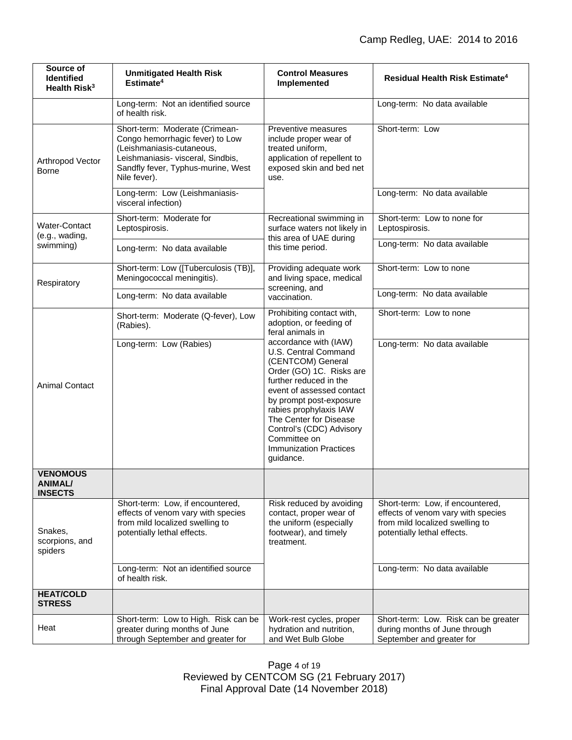| Source of<br><b>Identified</b><br>Health Risk <sup>3</sup> | <b>Unmitigated Health Risk</b><br>Estimate <sup>4</sup>                                                                                                                                   | <b>Control Measures</b><br>Implemented                                                                                                                                                                                                                                                                                         | <b>Residual Health Risk Estimate<sup>4</sup></b>                                                                                         |
|------------------------------------------------------------|-------------------------------------------------------------------------------------------------------------------------------------------------------------------------------------------|--------------------------------------------------------------------------------------------------------------------------------------------------------------------------------------------------------------------------------------------------------------------------------------------------------------------------------|------------------------------------------------------------------------------------------------------------------------------------------|
|                                                            | Long-term: Not an identified source<br>of health risk.                                                                                                                                    |                                                                                                                                                                                                                                                                                                                                | Long-term: No data available                                                                                                             |
| Arthropod Vector<br><b>Borne</b>                           | Short-term: Moderate (Crimean-<br>Congo hemorrhagic fever) to Low<br>(Leishmaniasis-cutaneous,<br>Leishmaniasis- visceral, Sindbis,<br>Sandfly fever, Typhus-murine, West<br>Nile fever). | Preventive measures<br>include proper wear of<br>treated uniform,<br>application of repellent to<br>exposed skin and bed net<br>use.                                                                                                                                                                                           | Short-term: Low                                                                                                                          |
|                                                            | Long-term: Low (Leishmaniasis-<br>visceral infection)                                                                                                                                     |                                                                                                                                                                                                                                                                                                                                | Long-term: No data available                                                                                                             |
| <b>Water-Contact</b><br>(e.g., wading,<br>swimming)        | Short-term: Moderate for<br>Leptospirosis.                                                                                                                                                | Recreational swimming in<br>surface waters not likely in<br>this area of UAE during<br>this time period.                                                                                                                                                                                                                       | Short-term: Low to none for<br>Leptospirosis.                                                                                            |
|                                                            | Long-term: No data available                                                                                                                                                              |                                                                                                                                                                                                                                                                                                                                | Long-term: No data available                                                                                                             |
| Respiratory                                                | Short-term: Low ([Tuberculosis (TB)],<br>Meningococcal meningitis).                                                                                                                       | Providing adequate work<br>and living space, medical<br>screening, and<br>vaccination.                                                                                                                                                                                                                                         | Short-term: Low to none                                                                                                                  |
|                                                            | Long-term: No data available                                                                                                                                                              |                                                                                                                                                                                                                                                                                                                                | Long-term: No data available                                                                                                             |
|                                                            | Short-term: Moderate (Q-fever), Low<br>(Rabies).                                                                                                                                          | Prohibiting contact with,<br>adoption, or feeding of<br>feral animals in                                                                                                                                                                                                                                                       | Short-term: Low to none                                                                                                                  |
| <b>Animal Contact</b>                                      | Long-term: Low (Rabies)                                                                                                                                                                   | accordance with (IAW)<br>U.S. Central Command<br>(CENTCOM) General<br>Order (GO) 1C. Risks are<br>further reduced in the<br>event of assessed contact<br>by prompt post-exposure<br>rabies prophylaxis IAW<br>The Center for Disease<br>Control's (CDC) Advisory<br>Committee on<br><b>Immunization Practices</b><br>guidance. | Long-term: No data available                                                                                                             |
| <b>VENOMOUS</b><br><b>ANIMAL/</b><br><b>INSECTS</b>        |                                                                                                                                                                                           |                                                                                                                                                                                                                                                                                                                                |                                                                                                                                          |
| Snakes,<br>scorpions, and<br>spiders                       | Short-term: Low, if encountered,<br>effects of venom vary with species<br>from mild localized swelling to<br>potentially lethal effects.                                                  | Risk reduced by avoiding<br>contact, proper wear of<br>the uniform (especially<br>footwear), and timely<br>treatment.                                                                                                                                                                                                          | Short-term: Low, if encountered,<br>effects of venom vary with species<br>from mild localized swelling to<br>potentially lethal effects. |
|                                                            | Long-term: Not an identified source<br>of health risk.                                                                                                                                    |                                                                                                                                                                                                                                                                                                                                | Long-term: No data available                                                                                                             |
| <b>HEAT/COLD</b><br><b>STRESS</b>                          |                                                                                                                                                                                           |                                                                                                                                                                                                                                                                                                                                |                                                                                                                                          |
| Heat                                                       | Short-term: Low to High. Risk can be<br>greater during months of June<br>through September and greater for                                                                                | Work-rest cycles, proper<br>hydration and nutrition,<br>and Wet Bulb Globe                                                                                                                                                                                                                                                     | Short-term: Low. Risk can be greater<br>during months of June through<br>September and greater for                                       |

Page 4 of 19 Reviewed by CENTCOM SG (21 February 2017) Final Approval Date (14 November 2018)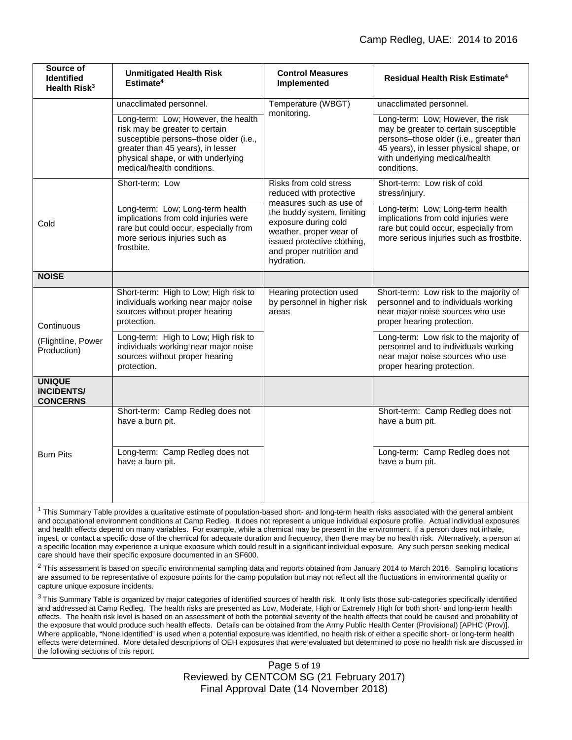| Source of<br><b>Identified</b><br>Health Risk <sup>3</sup> | <b>Unmitigated Health Risk</b><br>Estimate <sup>4</sup>                                                                                                                                                                  | <b>Control Measures</b><br>Implemented                                                                                                                                                                                                 | Residual Health Risk Estimate <sup>4</sup>                                                                                                                                                                        |
|------------------------------------------------------------|--------------------------------------------------------------------------------------------------------------------------------------------------------------------------------------------------------------------------|----------------------------------------------------------------------------------------------------------------------------------------------------------------------------------------------------------------------------------------|-------------------------------------------------------------------------------------------------------------------------------------------------------------------------------------------------------------------|
|                                                            | unacclimated personnel.                                                                                                                                                                                                  | Temperature (WBGT)<br>monitoring.                                                                                                                                                                                                      | unacclimated personnel.                                                                                                                                                                                           |
|                                                            | Long-term: Low; However, the health<br>risk may be greater to certain<br>susceptible persons-those older (i.e.,<br>greater than 45 years), in lesser<br>physical shape, or with underlying<br>medical/health conditions. |                                                                                                                                                                                                                                        | Long-term: Low; However, the risk<br>may be greater to certain susceptible<br>persons-those older (i.e., greater than<br>45 years), in lesser physical shape, or<br>with underlying medical/health<br>conditions. |
| Cold                                                       | Short-term: Low                                                                                                                                                                                                          | Risks from cold stress<br>reduced with protective<br>measures such as use of<br>the buddy system, limiting<br>exposure during cold<br>weather, proper wear of<br>issued protective clothing,<br>and proper nutrition and<br>hydration. | Short-term: Low risk of cold<br>stress/injury.                                                                                                                                                                    |
|                                                            | Long-term: Low; Long-term health<br>implications from cold injuries were<br>rare but could occur, especially from<br>more serious injuries such as<br>frostbite.                                                         |                                                                                                                                                                                                                                        | Long-term: Low; Long-term health<br>implications from cold injuries were<br>rare but could occur, especially from<br>more serious injuries such as frostbite.                                                     |
| <b>NOISE</b>                                               |                                                                                                                                                                                                                          |                                                                                                                                                                                                                                        |                                                                                                                                                                                                                   |
| Continuous<br>(Flightline, Power<br>Production)            | Short-term: High to Low; High risk to<br>individuals working near major noise<br>sources without proper hearing<br>protection.                                                                                           | Hearing protection used<br>by personnel in higher risk<br>areas                                                                                                                                                                        | Short-term: Low risk to the majority of<br>personnel and to individuals working<br>near major noise sources who use<br>proper hearing protection.                                                                 |
|                                                            | Long-term: High to Low; High risk to<br>individuals working near major noise<br>sources without proper hearing<br>protection.                                                                                            |                                                                                                                                                                                                                                        | Long-term: Low risk to the majority of<br>personnel and to individuals working<br>near major noise sources who use<br>proper hearing protection.                                                                  |
| <b>UNIQUE</b><br><b>INCIDENTS/</b><br><b>CONCERNS</b>      |                                                                                                                                                                                                                          |                                                                                                                                                                                                                                        |                                                                                                                                                                                                                   |
|                                                            | Short-term: Camp Redleg does not<br>have a burn pit.                                                                                                                                                                     |                                                                                                                                                                                                                                        | Short-term: Camp Redleg does not<br>have a burn pit.                                                                                                                                                              |
| <b>Burn Pits</b>                                           | Long-term: Camp Redleg does not<br>have a burn pit.                                                                                                                                                                      |                                                                                                                                                                                                                                        | Long-term: Camp Redleg does not<br>have a burn pit.                                                                                                                                                               |

 $1$  This Summary Table provides a qualitative estimate of population-based short- and long-term health risks associated with the general ambient and occupational environment conditions at Camp Redleg. It does not represent a unique individual exposure profile. Actual individual exposures and health effects depend on many variables. For example, while a chemical may be present in the environment, if a person does not inhale, ingest, or contact a specific dose of the chemical for adequate duration and frequency, then there may be no health risk. Alternatively, a person at a specific location may experience a unique exposure which could result in a significant individual exposure. Any such person seeking medical care should have their specific exposure documented in an SF600.

 $2$  This assessment is based on specific environmental sampling data and reports obtained from January 2014 to March 2016. Sampling locations are assumed to be representative of exposure points for the camp population but may not reflect all the fluctuations in environmental quality or capture unique exposure incidents.

 $3$  This Summary Table is organized by major categories of identified sources of health risk. It only lists those sub-categories specifically identified and addressed at Camp Redleg. The health risks are presented as Low, Moderate, High or Extremely High for both short- and long-term health effects. The health risk level is based on an assessment of both the potential severity of the health effects that could be caused and probability of the exposure that would produce such health effects. Details can be obtained from the Army Public Health Center (Provisional) [APHC (Prov)]. Where applicable, "None Identified" is used when a potential exposure was identified, no health risk of either a specific short- or long-term health effects were determined. More detailed descriptions of OEH exposures that were evaluated but determined to pose no health risk are discussed in the following sections of this report.

> Page 5 of 19 Reviewed by CENTCOM SG (21 February 2017) Final Approval Date (14 November 2018)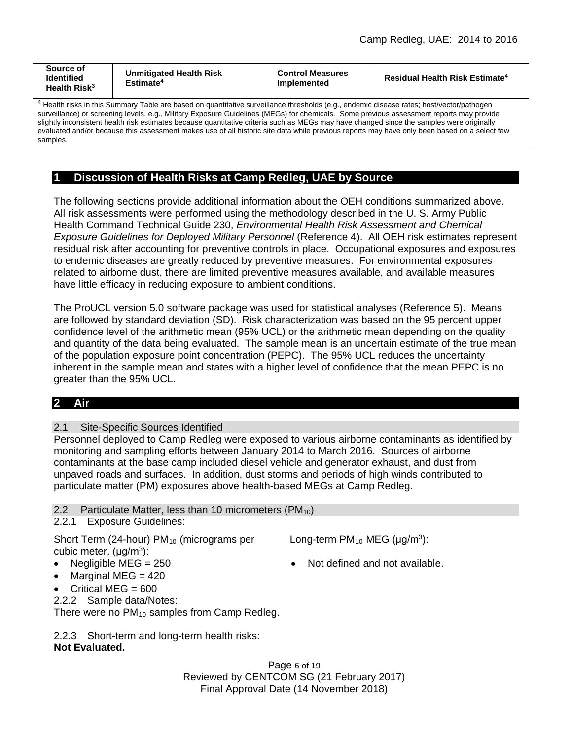| Source of<br><b>Identified</b><br>Health Risk <sup>3</sup>                                                                  | <b>Unmitigated Health Risk</b><br>Estimate <sup>4</sup> | <b>Control Measures</b><br><b>Implemented</b> | <b>Residual Health Risk Estimate<sup>4</sup></b> |  |  |  |
|-----------------------------------------------------------------------------------------------------------------------------|---------------------------------------------------------|-----------------------------------------------|--------------------------------------------------|--|--|--|
| 4 Haakka daha ta kita Ommaani Table ang baaad ang makkatho ammalilaas kusabalda 74 mga dagata diasasa nabar baakkasanananan |                                                         |                                               |                                                  |  |  |  |

Health risks in this Summary Table are based on quantitative surveillance thresholds (e.g., endemic disease rates; host/vector/pathogen surveillance) or screening levels, e.g., Military Exposure Guidelines (MEGs) for chemicals*.* Some previous assessment reports may provide slightly inconsistent health risk estimates because quantitative criteria such as MEGs may have changed since the samples were originally evaluated and/or because this assessment makes use of all historic site data while previous reports may have only been based on a select few samples.

## **1 Discussion of Health Risks at Camp Redleg, UAE by Source**

The following sections provide additional information about the OEH conditions summarized above. All risk assessments were performed using the methodology described in the U. S. Army Public Health Command Technical Guide 230, *Environmental Health Risk Assessment and Chemical Exposure Guidelines for Deployed Military Personnel* (Reference 4). All OEH risk estimates represent residual risk after accounting for preventive controls in place. Occupational exposures and exposures to endemic diseases are greatly reduced by preventive measures. For environmental exposures related to airborne dust, there are limited preventive measures available, and available measures have little efficacy in reducing exposure to ambient conditions.

The ProUCL version 5.0 software package was used for statistical analyses (Reference 5). Means are followed by standard deviation (SD). Risk characterization was based on the 95 percent upper confidence level of the arithmetic mean (95% UCL) or the arithmetic mean depending on the quality and quantity of the data being evaluated. The sample mean is an uncertain estimate of the true mean of the population exposure point concentration (PEPC). The 95% UCL reduces the uncertainty inherent in the sample mean and states with a higher level of confidence that the mean PEPC is no greater than the 95% UCL.

## **2 Air**

2.1 Site-Specific Sources Identified

Personnel deployed to Camp Redleg were exposed to various airborne contaminants as identified by monitoring and sampling efforts between January 2014 to March 2016. Sources of airborne contaminants at the base camp included diesel vehicle and generator exhaust, and dust from unpaved roads and surfaces. In addition, dust storms and periods of high winds contributed to particulate matter (PM) exposures above health-based MEGs at Camp Redleg.

2.2 Particulate Matter, less than 10 micrometers ( $PM_{10}$ )

```
2.2.1 Exposure Guidelines:
```
Short Term (24-hour) PM<sub>10</sub> (micrograms per Long-term PM<sub>10</sub> MEG ( $\mu$ g/m<sup>3</sup>): cubic meter, (μg/m<sup>3</sup>):

- 
- Marginal MEG  $=$  420
- Critical MEG =  $600$
- 2.2.2 Sample data/Notes:

There were no  $PM_{10}$  samples from Camp Redleg.

2.2.3 Short-term and long-term health risks: **Not Evaluated.**

> Page 6 of 19 Reviewed by CENTCOM SG (21 February 2017) Final Approval Date (14 November 2018)

- 
- Negligible MEG = 250 Not defined and not available.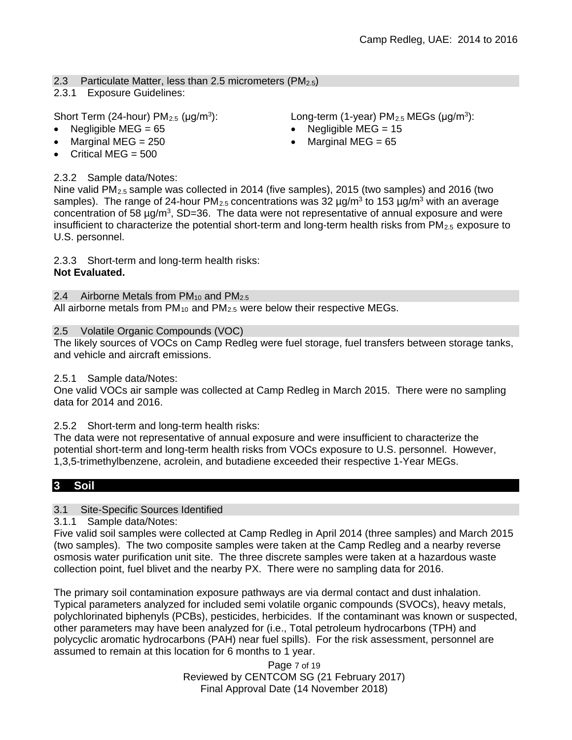2.3 Particulate Matter, less than 2.5 micrometers  $(PM<sub>2.5</sub>)$ 

2.3.1 Exposure Guidelines:

- 
- Marginal MEG = 250 Marginal MEG = 65
- Critical MEG  $= 500$

# 2.3.2 Sample data/Notes:

Nine valid PM2.5 sample was collected in 2014 (five samples), 2015 (two samples) and 2016 (two samples). The range of 24-hour PM<sub>2.5</sub> concentrations was 32  $\mu q/m^3$  to 153  $\mu q/m^3$  with an average concentration of 58  $\mu q/m^3$ , SD=36. The data were not representative of annual exposure and were insufficient to characterize the potential short-term and long-term health risks from  $PM_{2.5}$  exposure to U.S. personnel.

2.3.3 Short-term and long-term health risks:

## **Not Evaluated.**

2.4 Airborne Metals from  $PM_{10}$  and  $PM_{2.5}$ All airborne metals from  $PM_{10}$  and  $PM_{2.5}$  were below their respective MEGs.

## 2.5 Volatile Organic Compounds (VOC)

The likely sources of VOCs on Camp Redleg were fuel storage, fuel transfers between storage tanks, and vehicle and aircraft emissions.

## 2.5.1 Sample data/Notes:

One valid VOCs air sample was collected at Camp Redleg in March 2015. There were no sampling data for 2014 and 2016.

## 2.5.2 Short-term and long-term health risks:

The data were not representative of annual exposure and were insufficient to characterize the potential short-term and long-term health risks from VOCs exposure to U.S. personnel. However, 1,3,5-trimethylbenzene, acrolein, and butadiene exceeded their respective 1-Year MEGs.

## **3 Soil**

## 3.1 Site-Specific Sources Identified

3.1.1 Sample data/Notes:

Five valid soil samples were collected at Camp Redleg in April 2014 (three samples) and March 2015 (two samples). The two composite samples were taken at the Camp Redleg and a nearby reverse osmosis water purification unit site. The three discrete samples were taken at a hazardous waste collection point, fuel blivet and the nearby PX. There were no sampling data for 2016.

The primary soil contamination exposure pathways are via dermal contact and dust inhalation. Typical parameters analyzed for included semi volatile organic compounds (SVOCs), heavy metals, polychlorinated biphenyls (PCBs), pesticides, herbicides. If the contaminant was known or suspected, other parameters may have been analyzed for (i.e., Total petroleum hydrocarbons (TPH) and polycyclic aromatic hydrocarbons (PAH) near fuel spills). For the risk assessment, personnel are assumed to remain at this location for 6 months to 1 year.

> Page 7 of 19 Reviewed by CENTCOM SG (21 February 2017) Final Approval Date (14 November 2018)

Short Term (24-hour) PM<sub>2.5</sub> ( $\mu$ g/m<sup>3</sup>): Long-term (1-year) PM<sub>2.5</sub> MEGs ( $\mu$ g/m<sup>3</sup>):

- Negligible MEG =  $65$  Negligible MEG =  $15$ 
	-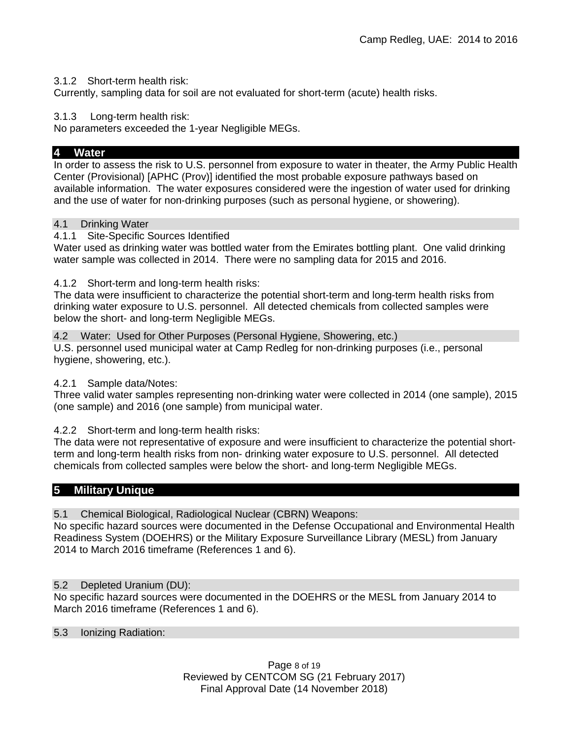### 3.1.2 Short-term health risk:

Currently, sampling data for soil are not evaluated for short-term (acute) health risks.

### 3.1.3 Long-term health risk:

No parameters exceeded the 1-year Negligible MEGs.

## **4 Water**

In order to assess the risk to U.S. personnel from exposure to water in theater, the Army Public Health Center (Provisional) [APHC (Prov)] identified the most probable exposure pathways based on available information. The water exposures considered were the ingestion of water used for drinking and the use of water for non-drinking purposes (such as personal hygiene, or showering).

### 4.1 Drinking Water

## 4.1.1 Site-Specific Sources Identified

Water used as drinking water was bottled water from the Emirates bottling plant. One valid drinking water sample was collected in 2014. There were no sampling data for 2015 and 2016.

4.1.2 Short-term and long-term health risks:

The data were insufficient to characterize the potential short-term and long-term health risks from drinking water exposure to U.S. personnel. All detected chemicals from collected samples were below the short- and long-term Negligible MEGs.

4.2 Water: Used for Other Purposes (Personal Hygiene, Showering, etc.) U.S. personnel used municipal water at Camp Redleg for non-drinking purposes (i.e., personal hygiene, showering, etc.).

4.2.1 Sample data/Notes:

Three valid water samples representing non-drinking water were collected in 2014 (one sample), 2015 (one sample) and 2016 (one sample) from municipal water.

4.2.2 Short-term and long-term health risks:

The data were not representative of exposure and were insufficient to characterize the potential shortterm and long-term health risks from non- drinking water exposure to U.S. personnel. All detected chemicals from collected samples were below the short- and long-term Negligible MEGs.

## **5 Military Unique**

5.1 Chemical Biological, Radiological Nuclear (CBRN) Weapons:

No specific hazard sources were documented in the Defense Occupational and Environmental Health Readiness System (DOEHRS) or the Military Exposure Surveillance Library (MESL) from January 2014 to March 2016 timeframe (References 1 and 6).

#### 5.2 Depleted Uranium (DU):

No specific hazard sources were documented in the DOEHRS or the MESL from January 2014 to March 2016 timeframe (References 1 and 6).

#### 5.3 Ionizing Radiation: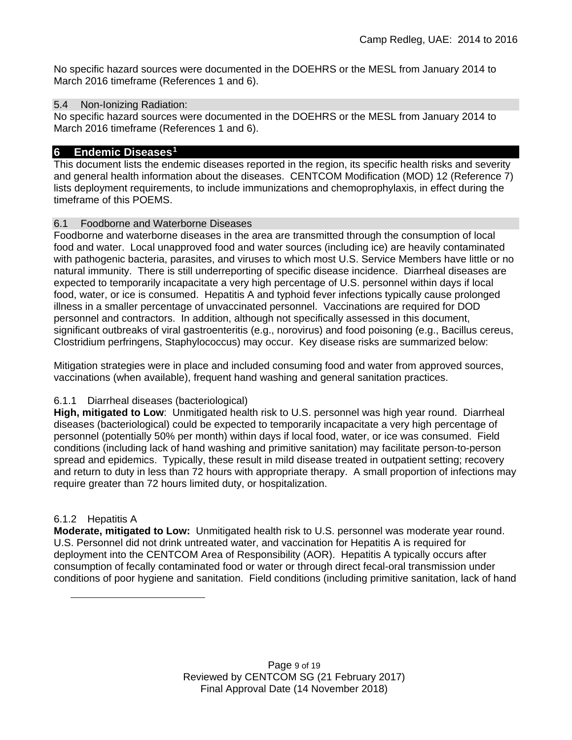No specific hazard sources were documented in the DOEHRS or the MESL from January 2014 to March 2016 timeframe (References 1 and 6).

### 5.4 Non-Ionizing Radiation:

No specific hazard sources were documented in the DOEHRS or the MESL from January 2014 to March 2016 timeframe (References 1 and 6).

## **6 Endemic Diseases[1](#page-8-0)**

This document lists the endemic diseases reported in the region, its specific health risks and severity and general health information about the diseases. CENTCOM Modification (MOD) 12 (Reference 7) lists deployment requirements, to include immunizations and chemoprophylaxis, in effect during the timeframe of this POEMS.

## 6.1 Foodborne and Waterborne Diseases

Foodborne and waterborne diseases in the area are transmitted through the consumption of local food and water. Local unapproved food and water sources (including ice) are heavily contaminated with pathogenic bacteria, parasites, and viruses to which most U.S. Service Members have little or no natural immunity. There is still underreporting of specific disease incidence. Diarrheal diseases are expected to temporarily incapacitate a very high percentage of U.S. personnel within days if local food, water, or ice is consumed. Hepatitis A and typhoid fever infections typically cause prolonged illness in a smaller percentage of unvaccinated personnel. Vaccinations are required for DOD personnel and contractors. In addition, although not specifically assessed in this document, significant outbreaks of viral gastroenteritis (e.g., norovirus) and food poisoning (e.g., Bacillus cereus, Clostridium perfringens, Staphylococcus) may occur. Key disease risks are summarized below:

Mitigation strategies were in place and included consuming food and water from approved sources, vaccinations (when available), frequent hand washing and general sanitation practices.

## 6.1.1 Diarrheal diseases (bacteriological)

**High, mitigated to Low**: Unmitigated health risk to U.S. personnel was high year round. Diarrheal diseases (bacteriological) could be expected to temporarily incapacitate a very high percentage of personnel (potentially 50% per month) within days if local food, water, or ice was consumed. Field conditions (including lack of hand washing and primitive sanitation) may facilitate person-to-person spread and epidemics. Typically, these result in mild disease treated in outpatient setting; recovery and return to duty in less than 72 hours with appropriate therapy. A small proportion of infections may require greater than 72 hours limited duty, or hospitalization.

## 6.1.2 Hepatitis A

<span id="page-8-0"></span> $\overline{a}$ 

**Moderate, mitigated to Low:** Unmitigated health risk to U.S. personnel was moderate year round. U.S. Personnel did not drink untreated water, and vaccination for Hepatitis A is required for deployment into the CENTCOM Area of Responsibility (AOR). Hepatitis A typically occurs after consumption of fecally contaminated food or water or through direct fecal-oral transmission under conditions of poor hygiene and sanitation. Field conditions (including primitive sanitation, lack of hand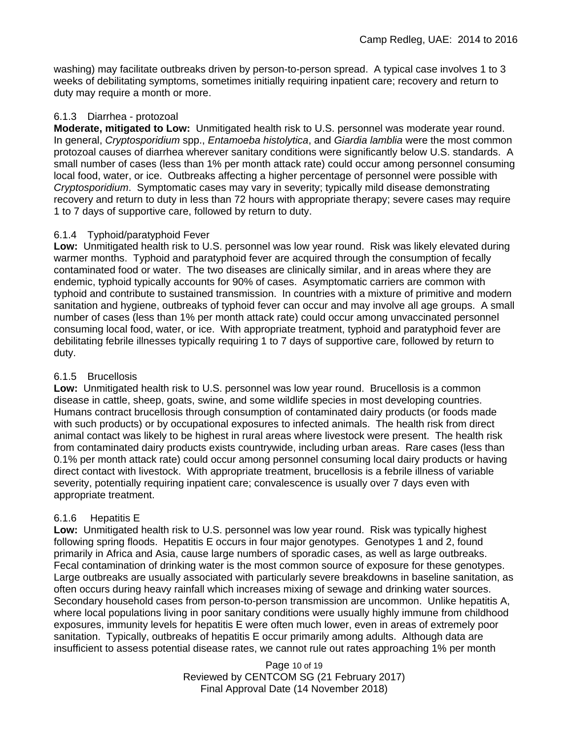washing) may facilitate outbreaks driven by person-to-person spread. A typical case involves 1 to 3 weeks of debilitating symptoms, sometimes initially requiring inpatient care; recovery and return to duty may require a month or more.

## 6.1.3 Diarrhea - protozoal

**Moderate, mitigated to Low:** Unmitigated health risk to U.S. personnel was moderate year round. In general, *Cryptosporidium* spp., *Entamoeba histolytica*, and *Giardia lamblia* were the most common protozoal causes of diarrhea wherever sanitary conditions were significantly below U.S. standards. A small number of cases (less than 1% per month attack rate) could occur among personnel consuming local food, water, or ice. Outbreaks affecting a higher percentage of personnel were possible with *Cryptosporidium*. Symptomatic cases may vary in severity; typically mild disease demonstrating recovery and return to duty in less than 72 hours with appropriate therapy; severe cases may require 1 to 7 days of supportive care, followed by return to duty.

## 6.1.4 Typhoid/paratyphoid Fever

**Low:** Unmitigated health risk to U.S. personnel was low year round. Risk was likely elevated during warmer months. Typhoid and paratyphoid fever are acquired through the consumption of fecally contaminated food or water. The two diseases are clinically similar, and in areas where they are endemic, typhoid typically accounts for 90% of cases. Asymptomatic carriers are common with typhoid and contribute to sustained transmission. In countries with a mixture of primitive and modern sanitation and hygiene, outbreaks of typhoid fever can occur and may involve all age groups. A small number of cases (less than 1% per month attack rate) could occur among unvaccinated personnel consuming local food, water, or ice. With appropriate treatment, typhoid and paratyphoid fever are debilitating febrile illnesses typically requiring 1 to 7 days of supportive care, followed by return to duty.

## 6.1.5 Brucellosis

**Low:** Unmitigated health risk to U.S. personnel was low year round. Brucellosis is a common disease in cattle, sheep, goats, swine, and some wildlife species in most developing countries. Humans contract brucellosis through consumption of contaminated dairy products (or foods made with such products) or by occupational exposures to infected animals. The health risk from direct animal contact was likely to be highest in rural areas where livestock were present. The health risk from contaminated dairy products exists countrywide, including urban areas. Rare cases (less than 0.1% per month attack rate) could occur among personnel consuming local dairy products or having direct contact with livestock. With appropriate treatment, brucellosis is a febrile illness of variable severity, potentially requiring inpatient care; convalescence is usually over 7 days even with appropriate treatment.

## 6.1.6 Hepatitis E

**Low:** Unmitigated health risk to U.S. personnel was low year round. Risk was typically highest following spring floods. Hepatitis E occurs in four major genotypes. Genotypes 1 and 2, found primarily in Africa and Asia, cause large numbers of sporadic cases, as well as large outbreaks. Fecal contamination of drinking water is the most common source of exposure for these genotypes. Large outbreaks are usually associated with particularly severe breakdowns in baseline sanitation, as often occurs during heavy rainfall which increases mixing of sewage and drinking water sources. Secondary household cases from person-to-person transmission are uncommon. Unlike hepatitis A, where local populations living in poor sanitary conditions were usually highly immune from childhood exposures, immunity levels for hepatitis E were often much lower, even in areas of extremely poor sanitation. Typically, outbreaks of hepatitis E occur primarily among adults. Although data are insufficient to assess potential disease rates, we cannot rule out rates approaching 1% per month

> Page 10 of 19 Reviewed by CENTCOM SG (21 February 2017) Final Approval Date (14 November 2018)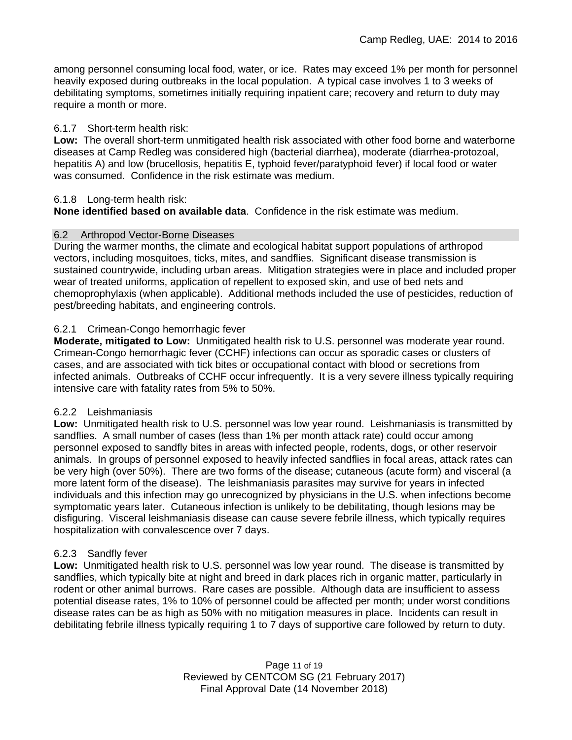among personnel consuming local food, water, or ice. Rates may exceed 1% per month for personnel heavily exposed during outbreaks in the local population. A typical case involves 1 to 3 weeks of debilitating symptoms, sometimes initially requiring inpatient care; recovery and return to duty may require a month or more.

## 6.1.7 Short-term health risk:

**Low:** The overall short-term unmitigated health risk associated with other food borne and waterborne diseases at Camp Redleg was considered high (bacterial diarrhea), moderate (diarrhea-protozoal, hepatitis A) and low (brucellosis, hepatitis E, typhoid fever/paratyphoid fever) if local food or water was consumed. Confidence in the risk estimate was medium.

## 6.1.8 Long-term health risk:

**None identified based on available data**.Confidence in the risk estimate was medium.

## 6.2 Arthropod Vector-Borne Diseases

During the warmer months, the climate and ecological habitat support populations of arthropod vectors, including mosquitoes, ticks, mites, and sandflies. Significant disease transmission is sustained countrywide, including urban areas. Mitigation strategies were in place and included proper wear of treated uniforms, application of repellent to exposed skin, and use of bed nets and chemoprophylaxis (when applicable). Additional methods included the use of pesticides, reduction of pest/breeding habitats, and engineering controls.

## 6.2.1 Crimean-Congo hemorrhagic fever

**Moderate, mitigated to Low:** Unmitigated health risk to U.S. personnel was moderate year round. Crimean-Congo hemorrhagic fever (CCHF) infections can occur as sporadic cases or clusters of cases, and are associated with tick bites or occupational contact with blood or secretions from infected animals. Outbreaks of CCHF occur infrequently. It is a very severe illness typically requiring intensive care with fatality rates from 5% to 50%.

## 6.2.2 Leishmaniasis

**Low:** Unmitigated health risk to U.S. personnel was low year round. Leishmaniasis is transmitted by sandflies. A small number of cases (less than 1% per month attack rate) could occur among personnel exposed to sandfly bites in areas with infected people, rodents, dogs, or other reservoir animals. In groups of personnel exposed to heavily infected sandflies in focal areas, attack rates can be very high (over 50%). There are two forms of the disease; cutaneous (acute form) and visceral (a more latent form of the disease). The leishmaniasis parasites may survive for years in infected individuals and this infection may go unrecognized by physicians in the U.S. when infections become symptomatic years later. Cutaneous infection is unlikely to be debilitating, though lesions may be disfiguring. Visceral leishmaniasis disease can cause severe febrile illness, which typically requires hospitalization with convalescence over 7 days.

## 6.2.3 Sandfly fever

**Low:** Unmitigated health risk to U.S. personnel was low year round. The disease is transmitted by sandflies, which typically bite at night and breed in dark places rich in organic matter, particularly in rodent or other animal burrows. Rare cases are possible. Although data are insufficient to assess potential disease rates, 1% to 10% of personnel could be affected per month; under worst conditions disease rates can be as high as 50% with no mitigation measures in place. Incidents can result in debilitating febrile illness typically requiring 1 to 7 days of supportive care followed by return to duty.

> Page 11 of 19 Reviewed by CENTCOM SG (21 February 2017) Final Approval Date (14 November 2018)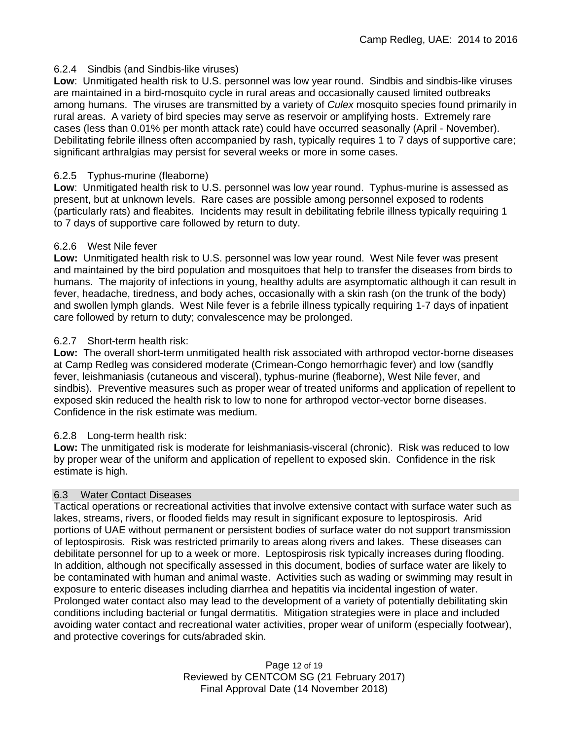#### 6.2.4 Sindbis (and Sindbis-like viruses)

**Low**: Unmitigated health risk to U.S. personnel was low year round. Sindbis and sindbis-like viruses are maintained in a bird-mosquito cycle in rural areas and occasionally caused limited outbreaks among humans. The viruses are transmitted by a variety of *Culex* mosquito species found primarily in rural areas. A variety of bird species may serve as reservoir or amplifying hosts. Extremely rare cases (less than 0.01% per month attack rate) could have occurred seasonally (April - November). Debilitating febrile illness often accompanied by rash, typically requires 1 to 7 days of supportive care; significant arthralgias may persist for several weeks or more in some cases.

### 6.2.5 Typhus-murine (fleaborne)

**Low**: Unmitigated health risk to U.S. personnel was low year round. Typhus-murine is assessed as present, but at unknown levels. Rare cases are possible among personnel exposed to rodents (particularly rats) and fleabites. Incidents may result in debilitating febrile illness typically requiring 1 to 7 days of supportive care followed by return to duty.

### 6.2.6 West Nile fever

**Low:** Unmitigated health risk to U.S. personnel was low year round. West Nile fever was present and maintained by the bird population and mosquitoes that help to transfer the diseases from birds to humans. The majority of infections in young, healthy adults are asymptomatic although it can result in fever, headache, tiredness, and body aches, occasionally with a skin rash (on the trunk of the body) and swollen lymph glands. West Nile fever is a febrile illness typically requiring 1-7 days of inpatient care followed by return to duty; convalescence may be prolonged.

## 6.2.7 Short-term health risk:

**Low:** The overall short-term unmitigated health risk associated with arthropod vector-borne diseases at Camp Redleg was considered moderate (Crimean-Congo hemorrhagic fever) and low (sandfly fever, leishmaniasis (cutaneous and visceral), typhus-murine (fleaborne), West Nile fever, and sindbis). Preventive measures such as proper wear of treated uniforms and application of repellent to exposed skin reduced the health risk to low to none for arthropod vector-vector borne diseases. Confidence in the risk estimate was medium.

#### 6.2.8 Long-term health risk:

**Low:** The unmitigated risk is moderate for leishmaniasis-visceral (chronic). Risk was reduced to low by proper wear of the uniform and application of repellent to exposed skin. Confidence in the risk estimate is high.

#### 6.3 Water Contact Diseases

Tactical operations or recreational activities that involve extensive contact with surface water such as lakes, streams, rivers, or flooded fields may result in significant exposure to leptospirosis. Arid portions of UAE without permanent or persistent bodies of surface water do not support transmission of leptospirosis. Risk was restricted primarily to areas along rivers and lakes. These diseases can debilitate personnel for up to a week or more. Leptospirosis risk typically increases during flooding. In addition, although not specifically assessed in this document, bodies of surface water are likely to be contaminated with human and animal waste. Activities such as wading or swimming may result in exposure to enteric diseases including diarrhea and hepatitis via incidental ingestion of water. Prolonged water contact also may lead to the development of a variety of potentially debilitating skin conditions including bacterial or fungal dermatitis. Mitigation strategies were in place and included avoiding water contact and recreational water activities, proper wear of uniform (especially footwear), and protective coverings for cuts/abraded skin.

> Page 12 of 19 Reviewed by CENTCOM SG (21 February 2017) Final Approval Date (14 November 2018)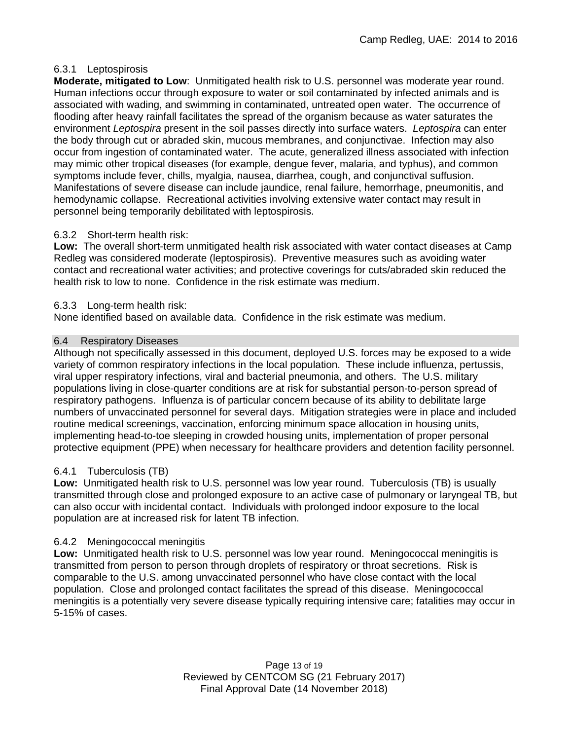## 6.3.1 Leptospirosis

**Moderate, mitigated to Low**: Unmitigated health risk to U.S. personnel was moderate year round. Human infections occur through exposure to water or soil contaminated by infected animals and is associated with wading, and swimming in contaminated, untreated open water. The occurrence of flooding after heavy rainfall facilitates the spread of the organism because as water saturates the environment *Leptospira* present in the soil passes directly into surface waters. *Leptospira* can enter the body through cut or abraded skin, mucous membranes, and conjunctivae. Infection may also occur from ingestion of contaminated water. The acute, generalized illness associated with infection may mimic other tropical diseases (for example, dengue fever, malaria, and typhus), and common symptoms include fever, chills, myalgia, nausea, diarrhea, cough, and conjunctival suffusion. Manifestations of severe disease can include jaundice, renal failure, hemorrhage, pneumonitis, and hemodynamic collapse. Recreational activities involving extensive water contact may result in personnel being temporarily debilitated with leptospirosis.

## 6.3.2 Short-term health risk:

**Low:** The overall short-term unmitigated health risk associated with water contact diseases at Camp Redleg was considered moderate (leptospirosis). Preventive measures such as avoiding water contact and recreational water activities; and protective coverings for cuts/abraded skin reduced the health risk to low to none. Confidence in the risk estimate was medium.

## 6.3.3 Long-term health risk:

None identified based on available data. Confidence in the risk estimate was medium.

## 6.4 Respiratory Diseases

Although not specifically assessed in this document, deployed U.S. forces may be exposed to a wide variety of common respiratory infections in the local population. These include influenza, pertussis, viral upper respiratory infections, viral and bacterial pneumonia, and others. The U.S. military populations living in close-quarter conditions are at risk for substantial person-to-person spread of respiratory pathogens. Influenza is of particular concern because of its ability to debilitate large numbers of unvaccinated personnel for several days. Mitigation strategies were in place and included routine medical screenings, vaccination, enforcing minimum space allocation in housing units, implementing head-to-toe sleeping in crowded housing units, implementation of proper personal protective equipment (PPE) when necessary for healthcare providers and detention facility personnel.

## 6.4.1 Tuberculosis (TB)

**Low:** Unmitigated health risk to U.S. personnel was low year round. Tuberculosis (TB) is usually transmitted through close and prolonged exposure to an active case of pulmonary or laryngeal TB, but can also occur with incidental contact. Individuals with prolonged indoor exposure to the local population are at increased risk for latent TB infection.

## 6.4.2 Meningococcal meningitis

**Low:** Unmitigated health risk to U.S. personnel was low year round. Meningococcal meningitis is transmitted from person to person through droplets of respiratory or throat secretions. Risk is comparable to the U.S. among unvaccinated personnel who have close contact with the local population. Close and prolonged contact facilitates the spread of this disease. Meningococcal meningitis is a potentially very severe disease typically requiring intensive care; fatalities may occur in 5-15% of cases.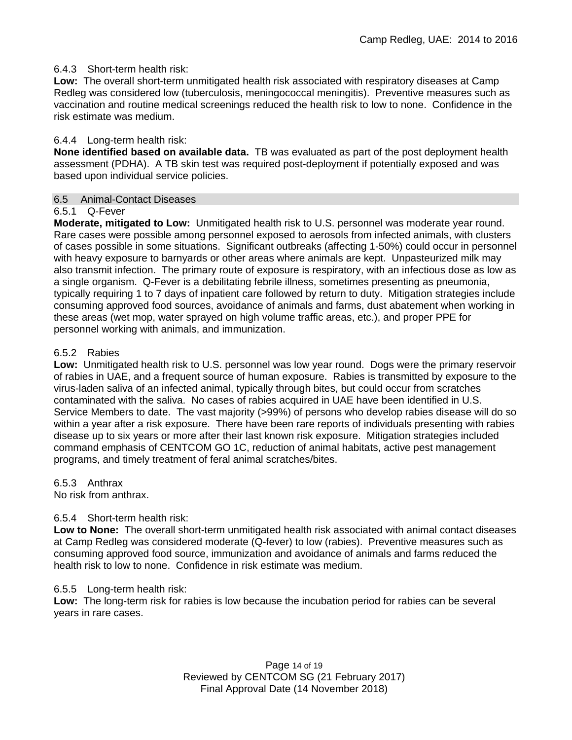### 6.4.3 Short-term health risk:

**Low:** The overall short-term unmitigated health risk associated with respiratory diseases at Camp Redleg was considered low (tuberculosis, meningococcal meningitis). Preventive measures such as vaccination and routine medical screenings reduced the health risk to low to none. Confidence in the risk estimate was medium.

### 6.4.4 Long-term health risk:

**None identified based on available data.** TB was evaluated as part of the post deployment health assessment (PDHA). A TB skin test was required post-deployment if potentially exposed and was based upon individual service policies.

#### 6.5 Animal-Contact Diseases

## 6.5.1 Q-Fever

**Moderate, mitigated to Low:** Unmitigated health risk to U.S. personnel was moderate year round. Rare cases were possible among personnel exposed to aerosols from infected animals, with clusters of cases possible in some situations. Significant outbreaks (affecting 1-50%) could occur in personnel with heavy exposure to barnyards or other areas where animals are kept. Unpasteurized milk may also transmit infection. The primary route of exposure is respiratory, with an infectious dose as low as a single organism. Q-Fever is a debilitating febrile illness, sometimes presenting as pneumonia, typically requiring 1 to 7 days of inpatient care followed by return to duty. Mitigation strategies include consuming approved food sources, avoidance of animals and farms, dust abatement when working in these areas (wet mop, water sprayed on high volume traffic areas, etc.), and proper PPE for personnel working with animals, and immunization.

### 6.5.2 Rabies

**Low:** Unmitigated health risk to U.S. personnel was low year round. Dogs were the primary reservoir of rabies in UAE, and a frequent source of human exposure. Rabies is transmitted by exposure to the virus-laden saliva of an infected animal, typically through bites, but could occur from scratches contaminated with the saliva. No cases of rabies acquired in UAE have been identified in U.S. Service Members to date. The vast majority (>99%) of persons who develop rabies disease will do so within a year after a risk exposure. There have been rare reports of individuals presenting with rabies disease up to six years or more after their last known risk exposure. Mitigation strategies included command emphasis of CENTCOM GO 1C, reduction of animal habitats, active pest management programs, and timely treatment of feral animal scratches/bites.

6.5.3 Anthrax

No risk from anthrax.

## 6.5.4 Short-term health risk:

**Low to None:** The overall short-term unmitigated health risk associated with animal contact diseases at Camp Redleg was considered moderate (Q-fever) to low (rabies). Preventive measures such as consuming approved food source, immunization and avoidance of animals and farms reduced the health risk to low to none. Confidence in risk estimate was medium.

## 6.5.5 Long-term health risk:

**Low:** The long-term risk for rabies is low because the incubation period for rabies can be several years in rare cases.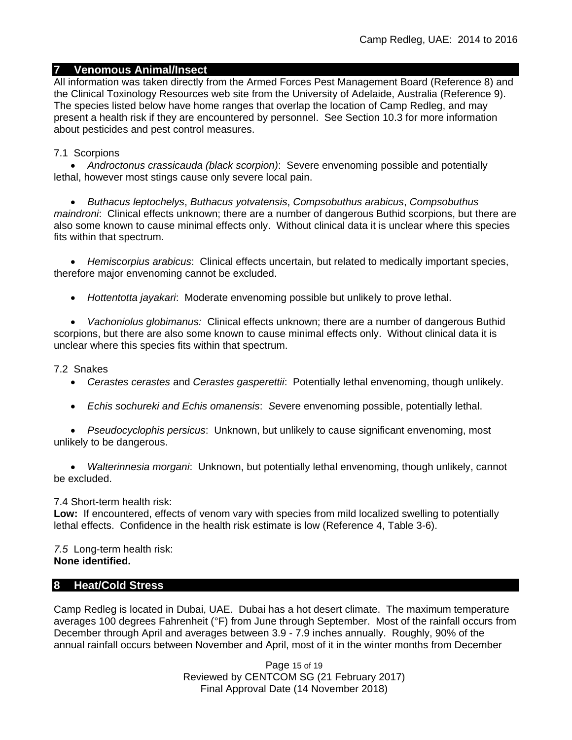## **7 Venomous Animal/Insect**

All information was taken directly from the Armed Forces Pest Management Board (Reference 8) and the Clinical Toxinology Resources web site from the University of Adelaide, Australia (Reference 9). The species listed below have home ranges that overlap the location of Camp Redleg, and may present a health risk if they are encountered by personnel. See Section 10.3 for more information about pesticides and pest control measures.

### 7.1 Scorpions

• *Androctonus crassicauda (black scorpion)*:Severe envenoming possible and potentially lethal, however most stings cause only severe local pain.

• *Buthacus leptochelys*, *Buthacus yotvatensis*, *Compsobuthus arabicus*, *Compsobuthus maindroni*: Clinical effects unknown; there are a number of dangerous Buthid scorpions, but there are also some known to cause minimal effects only. Without clinical data it is unclear where this species fits within that spectrum.

• *Hemiscorpius arabicus*: Clinical effects uncertain, but related to medically important species, therefore major envenoming cannot be excluded.

• *Hottentotta jayakari*: Moderate envenoming possible but unlikely to prove lethal.

• *Vachoniolus globimanus:* Clinical effects unknown; there are a number of dangerous Buthid scorpions, but there are also some known to cause minimal effects only. Without clinical data it is unclear where this species fits within that spectrum.

#### 7.2 Snakes

- *Cerastes cerastes* and *Cerastes gasperettii*: Potentially lethal envenoming, though unlikely.
- *Echis sochureki and Echis omanensis*: *S*evere envenoming possible, potentially lethal.

• *Pseudocyclophis persicus*: Unknown, but unlikely to cause significant envenoming, most unlikely to be dangerous.

• *Walterinnesia morgani*: Unknown, but potentially lethal envenoming, though unlikely, cannot be excluded.

7.4 Short-term health risk:

**Low:** If encountered, effects of venom vary with species from mild localized swelling to potentially lethal effects. Confidence in the health risk estimate is low (Reference 4, Table 3-6).

#### *7.5* Long-term health risk: **None identified.**

### **8 Heat/Cold Stress**

Camp Redleg is located in Dubai, UAE. Dubai has a hot desert climate. The maximum temperature averages 100 degrees Fahrenheit (°F) from June through September. Most of the rainfall occurs from December through April and averages between 3.9 - 7.9 inches annually. Roughly, 90% of the annual rainfall occurs between November and April, most of it in the winter months from December

> Page 15 of 19 Reviewed by CENTCOM SG (21 February 2017) Final Approval Date (14 November 2018)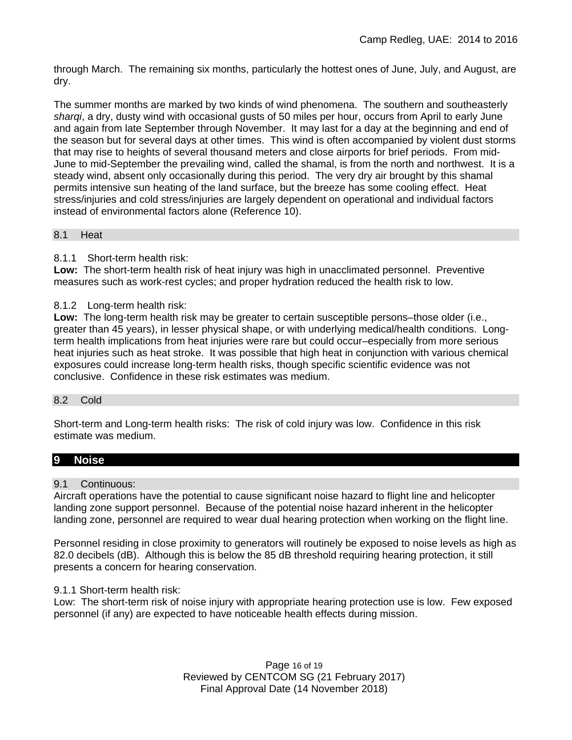through March. The remaining six months, particularly the hottest ones of June, July, and August, are dry.

The summer months are marked by two kinds of wind phenomena. The southern and southeasterly *sharqi*, a dry, dusty wind with occasional gusts of 50 miles per hour, occurs from April to early June and again from late September through November. It may last for a day at the beginning and end of the season but for several days at other times. This wind is often accompanied by violent dust storms that may rise to heights of several thousand meters and close airports for brief periods. From mid-June to mid-September the prevailing wind, called the shamal, is from the north and northwest. It is a steady wind, absent only occasionally during this period. The very dry air brought by this shamal permits intensive sun heating of the land surface, but the breeze has some cooling effect. Heat stress/injuries and cold stress/injuries are largely dependent on operational and individual factors instead of environmental factors alone (Reference 10).

### 8.1 Heat

8.1.1 Short-term health risk:

**Low:** The short-term health risk of heat injury was high in unacclimated personnel. Preventive measures such as work-rest cycles; and proper hydration reduced the health risk to low.

#### 8.1.2 Long-term health risk:

**Low:** The long-term health risk may be greater to certain susceptible persons–those older (i.e., greater than 45 years), in lesser physical shape, or with underlying medical/health conditions. Longterm health implications from heat injuries were rare but could occur–especially from more serious heat injuries such as heat stroke.It was possible that high heat in conjunction with various chemical exposures could increase long-term health risks, though specific scientific evidence was not conclusive. Confidence in these risk estimates was medium.

#### 8.2 Cold

Short-term and Long-term health risks: The risk of cold injury was low. Confidence in this risk estimate was medium.

#### **9 Noise**

#### 9.1 Continuous:

Aircraft operations have the potential to cause significant noise hazard to flight line and helicopter landing zone support personnel. Because of the potential noise hazard inherent in the helicopter landing zone, personnel are required to wear dual hearing protection when working on the flight line.

Personnel residing in close proximity to generators will routinely be exposed to noise levels as high as 82.0 decibels (dB). Although this is below the 85 dB threshold requiring hearing protection, it still presents a concern for hearing conservation.

#### 9.1.1 Short-term health risk:

Low: The short-term risk of noise injury with appropriate hearing protection use is low. Few exposed personnel (if any) are expected to have noticeable health effects during mission.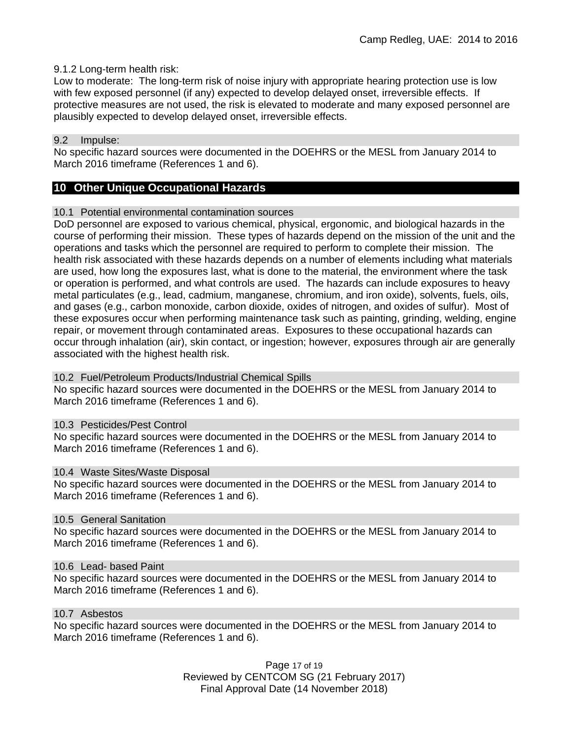### 9.1.2 Long-term health risk:

Low to moderate: The long-term risk of noise injury with appropriate hearing protection use is low with few exposed personnel (if any) expected to develop delayed onset, irreversible effects. If protective measures are not used, the risk is elevated to moderate and many exposed personnel are plausibly expected to develop delayed onset, irreversible effects.

#### 9.2 Impulse:

No specific hazard sources were documented in the DOEHRS or the MESL from January 2014 to March 2016 timeframe (References 1 and 6).

## **10 Other Unique Occupational Hazards**

### 10.1 Potential environmental contamination sources

DoD personnel are exposed to various chemical, physical, ergonomic, and biological hazards in the course of performing their mission. These types of hazards depend on the mission of the unit and the operations and tasks which the personnel are required to perform to complete their mission. The health risk associated with these hazards depends on a number of elements including what materials are used, how long the exposures last, what is done to the material, the environment where the task or operation is performed, and what controls are used. The hazards can include exposures to heavy metal particulates (e.g., lead, cadmium, manganese, chromium, and iron oxide), solvents, fuels, oils, and gases (e.g., carbon monoxide, carbon dioxide, oxides of nitrogen, and oxides of sulfur). Most of these exposures occur when performing maintenance task such as painting, grinding, welding, engine repair, or movement through contaminated areas. Exposures to these occupational hazards can occur through inhalation (air), skin contact, or ingestion; however, exposures through air are generally associated with the highest health risk.

## 10.2 Fuel/Petroleum Products/Industrial Chemical Spills

No specific hazard sources were documented in the DOEHRS or the MESL from January 2014 to March 2016 timeframe (References 1 and 6).

#### 10.3 Pesticides/Pest Control

No specific hazard sources were documented in the DOEHRS or the MESL from January 2014 to March 2016 timeframe (References 1 and 6).

#### 10.4 Waste Sites/Waste Disposal

No specific hazard sources were documented in the DOEHRS or the MESL from January 2014 to March 2016 timeframe (References 1 and 6).

#### 10.5 General Sanitation

No specific hazard sources were documented in the DOEHRS or the MESL from January 2014 to March 2016 timeframe (References 1 and 6).

#### 10.6 Lead- based Paint

No specific hazard sources were documented in the DOEHRS or the MESL from January 2014 to March 2016 timeframe (References 1 and 6).

#### 10.7 Asbestos

No specific hazard sources were documented in the DOEHRS or the MESL from January 2014 to March 2016 timeframe (References 1 and 6).

> Page 17 of 19 Reviewed by CENTCOM SG (21 February 2017) Final Approval Date (14 November 2018)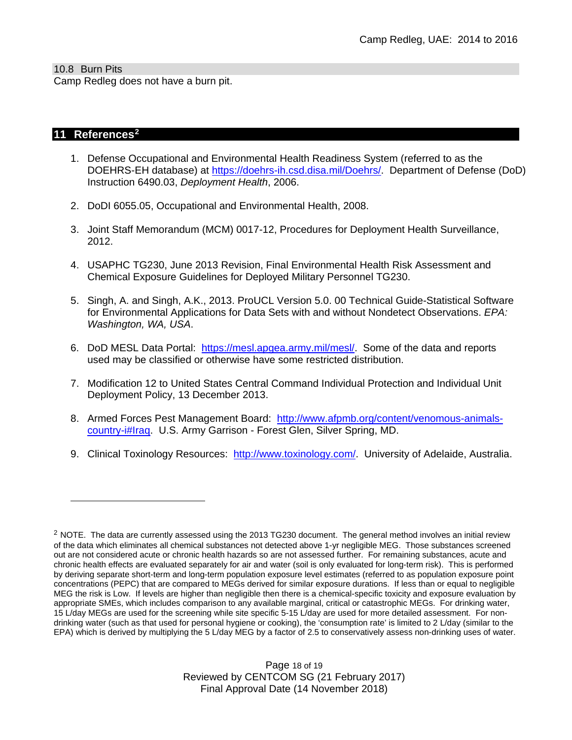## **11 References[2](#page-17-0)**

 $\overline{a}$ 

- 1. Defense Occupational and Environmental Health Readiness System (referred to as the DOEHRS-EH database) at [https://doehrs-ih.csd.disa.mil/Doehrs/.](https://doehrs-ih.csd.disa.mil/Doehrs/)Department of Defense (DoD) Instruction 6490.03, *Deployment Health*, 2006.
- 2. DoDI 6055.05, Occupational and Environmental Health, 2008.
- 3. Joint Staff Memorandum (MCM) 0017-12, Procedures for Deployment Health Surveillance, 2012.
- 4. USAPHC TG230, June 2013 Revision, Final Environmental Health Risk Assessment and Chemical Exposure Guidelines for Deployed Military Personnel TG230.
- 5. Singh, A. and Singh, A.K., 2013. ProUCL Version 5.0. 00 Technical Guide-Statistical Software for Environmental Applications for Data Sets with and without Nondetect Observations. *EPA: Washington, WA, USA*.
- 6. DoD MESL Data Portal: [https://mesl.apgea.army.mil/mesl/.](https://mesl.apgea.army.mil/mesl/) Some of the data and reports used may be classified or otherwise have some restricted distribution.
- 7. Modification 12 to United States Central Command Individual Protection and Individual Unit Deployment Policy, 13 December 2013.
- 8. Armed Forces Pest Management Board: [http://www.afpmb.org/content/venomous-animals](http://www.afpmb.org/content/venomous-animals-country-i%23Iraq)[country-i#Iraq.](http://www.afpmb.org/content/venomous-animals-country-i%23Iraq) U.S. Army Garrison - Forest Glen, Silver Spring, MD.
- 9. Clinical Toxinology Resources: [http://www.toxinology.com/.](http://www.toxinology.com/) University of Adelaide, Australia.

Page 18 of 19 Reviewed by CENTCOM SG (21 February 2017) Final Approval Date (14 November 2018)

<span id="page-17-0"></span><sup>&</sup>lt;sup>2</sup> NOTE. The data are currently assessed using the 2013 TG230 document. The general method involves an initial review of the data which eliminates all chemical substances not detected above 1-yr negligible MEG. Those substances screened out are not considered acute or chronic health hazards so are not assessed further. For remaining substances, acute and chronic health effects are evaluated separately for air and water (soil is only evaluated for long-term risk). This is performed by deriving separate short-term and long-term population exposure level estimates (referred to as population exposure point concentrations (PEPC) that are compared to MEGs derived for similar exposure durations. If less than or equal to negligible MEG the risk is Low. If levels are higher than negligible then there is a chemical-specific toxicity and exposure evaluation by appropriate SMEs, which includes comparison to any available marginal, critical or catastrophic MEGs. For drinking water, 15 L/day MEGs are used for the screening while site specific 5-15 L/day are used for more detailed assessment. For nondrinking water (such as that used for personal hygiene or cooking), the 'consumption rate' is limited to 2 L/day (similar to the EPA) which is derived by multiplying the 5 L/day MEG by a factor of 2.5 to conservatively assess non-drinking uses of water.